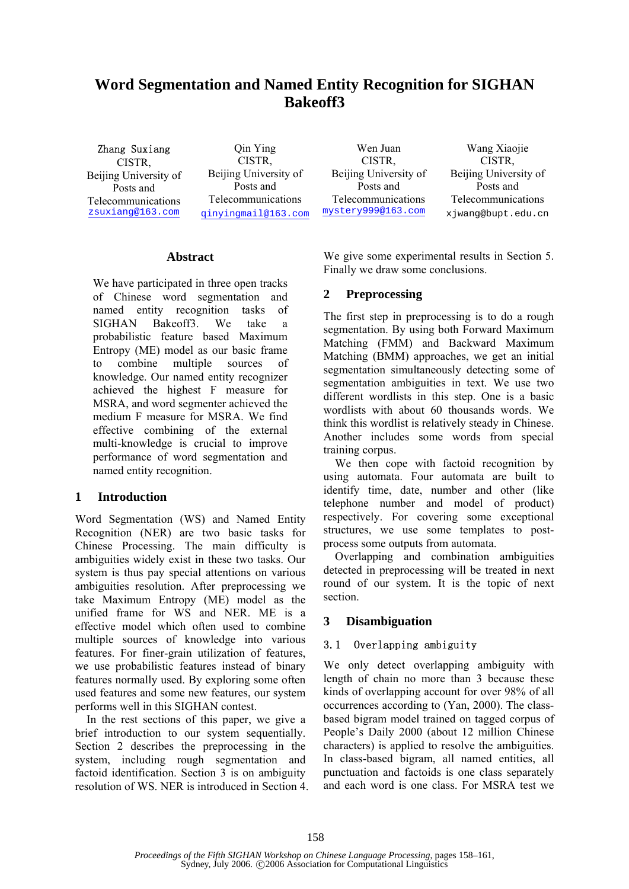# **Word Segmentation and Named Entity Recognition for SIGHAN Bakeoff3**

Zhang Suxiang CISTR, Beijing University of Posts and Telecommunications zsuxiang@163.com

Qin Ying CISTR, Beijing University of Posts and Telecommunications qinyingmail@163.com

Wen Juan CISTR, Beijing University of Posts and Telecommunications mystery999@163.com

Wang Xiaojie CISTR, Beijing University of Posts and Telecommunications xjwang@bupt.edu.cn

## **Abstract**

We have participated in three open tracks of Chinese word segmentation and named entity recognition tasks of SIGHAN Bakeoff3. We take a probabilistic feature based Maximum Entropy (ME) model as our basic frame to combine multiple sources of knowledge. Our named entity recognizer achieved the highest F measure for MSRA, and word segmenter achieved the medium F measure for MSRA. We find effective combining of the external multi-knowledge is crucial to improve performance of word segmentation and named entity recognition.

#### **1 Introduction**

Word Segmentation (WS) and Named Entity Recognition (NER) are two basic tasks for Chinese Processing. The main difficulty is ambiguities widely exist in these two tasks. Our system is thus pay special attentions on various ambiguities resolution. After preprocessing we take Maximum Entropy (ME) model as the unified frame for WS and NER. ME is a effective model which often used to combine multiple sources of knowledge into various features. For finer-grain utilization of features, we use probabilistic features instead of binary features normally used. By exploring some often used features and some new features, our system performs well in this SIGHAN contest.

In the rest sections of this paper, we give a brief introduction to our system sequentially. Section 2 describes the preprocessing in the system, including rough segmentation and factoid identification. Section 3 is on ambiguity resolution of WS. NER is introduced in Section 4. We give some experimental results in Section 5. Finally we draw some conclusions.

## **2 Preprocessing**

The first step in preprocessing is to do a rough segmentation. By using both Forward Maximum Matching (FMM) and Backward Maximum Matching (BMM) approaches, we get an initial segmentation simultaneously detecting some of segmentation ambiguities in text. We use two different wordlists in this step. One is a basic wordlists with about 60 thousands words. We think this wordlist is relatively steady in Chinese. Another includes some words from special training corpus.

We then cope with factoid recognition by using automata. Four automata are built to identify time, date, number and other (like telephone number and model of product) respectively. For covering some exceptional structures, we use some templates to postprocess some outputs from automata.

Overlapping and combination ambiguities detected in preprocessing will be treated in next round of our system. It is the topic of next section.

## **3 Disambiguation**

#### 3.1 Overlapping ambiguity

We only detect overlapping ambiguity with length of chain no more than 3 because these kinds of overlapping account for over 98% of all occurrences according to (Yan, 2000). The classbased bigram model trained on tagged corpus of People's Daily 2000 (about 12 million Chinese characters) is applied to resolve the ambiguities. In class-based bigram, all named entities, all punctuation and factoids is one class separately and each word is one class. For MSRA test we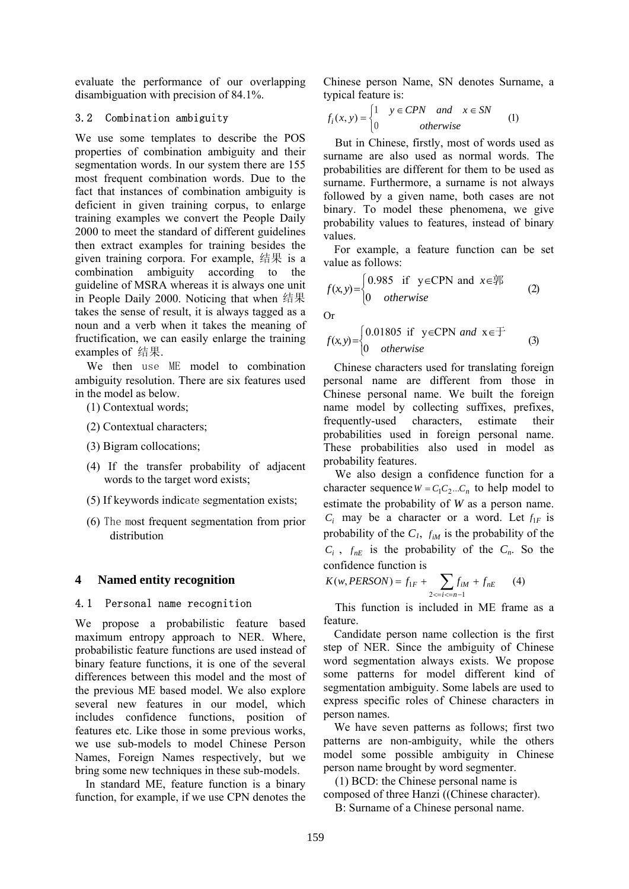evaluate the performance of our overlapping disambiguation with precision of 84.1%.

## 3.2 Combination ambiguity

We use some templates to describe the POS properties of combination ambiguity and their segmentation words. In our system there are 155 most frequent combination words. Due to the fact that instances of combination ambiguity is deficient in given training corpus, to enlarge training examples we convert the People Daily 2000 to meet the standard of different guidelines then extract examples for training besides the given training corpora. For example, 结果 is a combination ambiguity according to the guideline of MSRA whereas it is always one unit in People Daily 2000. Noticing that when 结果 takes the sense of result, it is always tagged as a noun and a verb when it takes the meaning of fructification, we can easily enlarge the training examples of 结果.

We then use ME model to combination ambiguity resolution. There are six features used in the model as below.

- (1) Contextual words;
- (2) Contextual characters;
- (3) Bigram collocations;
- (4) If the transfer probability of adjacent words to the target word exists;
- (5) If keywords indicate segmentation exists;
- (6) The most frequent segmentation from prior distribution

## **4 Named entity recognition**

#### 4.1 Personal name recognition

We propose a probabilistic feature based maximum entropy approach to NER. Where, probabilistic feature functions are used instead of binary feature functions, it is one of the several differences between this model and the most of the previous ME based model. We also explore several new features in our model, which includes confidence functions, position of features etc. Like those in some previous works, we use sub-models to model Chinese Person Names, Foreign Names respectively, but we bring some new techniques in these sub-models.

In standard ME, feature function is a binary function, for example, if we use CPN denotes the Chinese person Name, SN denotes Surname, a typical feature is:

$$
f_i(x, y) = \begin{cases} 1 & y \in CPN \quad and \quad x \in SN \\ 0 & otherwise \end{cases}
$$
 (1)

But in Chinese, firstly, most of words used as surname are also used as normal words. The probabilities are different for them to be used as surname. Furthermore, a surname is not always followed by a given name, both cases are not binary. To model these phenomena, we give probability values to features, instead of binary values.

For example, a feature function can be set value as follows:

$$
f(x, y) = \begin{cases} 0.985 & \text{if } y \in \text{CPN} \text{ and } x \in \overline{\mathbb{R}} \\ 0 & otherwise \end{cases}
$$
 (2)

Or

$$
f(x,y) = \begin{cases} 0.01805 & \text{if } y \in \text{CPN} \text{ and } x \in \text{F} \\ 0 & otherwise \end{cases}
$$
 (3)

Chinese characters used for translating foreign personal name are different from those in Chinese personal name. We built the foreign name model by collecting suffixes, prefixes, frequently-used characters, estimate their probabilities used in foreign personal name. These probabilities also used in model as probability features.

We also design a confidence function for a character sequence  $W = C_1 C_2 ... C_n$  to help model to estimate the probability of *W* as a person name.  $C_i$  may be a character or a word. Let  $f_{1F}$  is probability of the  $C_1$ ,  $f_{iM}$  is the probability of the  $C_i$ ,  $f_{nE}$  is the probability of the  $C_n$ . So the confidence function is

$$
K(w, PERSON) = f_{1F} + \sum_{2 < i < = n-1} f_{iM} + f_{nE} \tag{4}
$$

This function is included in ME frame as a feature.

Candidate person name collection is the first step of NER. Since the ambiguity of Chinese word segmentation always exists. We propose some patterns for model different kind of segmentation ambiguity. Some labels are used to express specific roles of Chinese characters in person names.

We have seven patterns as follows; first two patterns are non-ambiguity, while the others model some possible ambiguity in Chinese person name brought by word segmenter.

(1) BCD: the Chinese personal name is composed of three Hanzi ((Chinese character).

B: Surname of a Chinese personal name.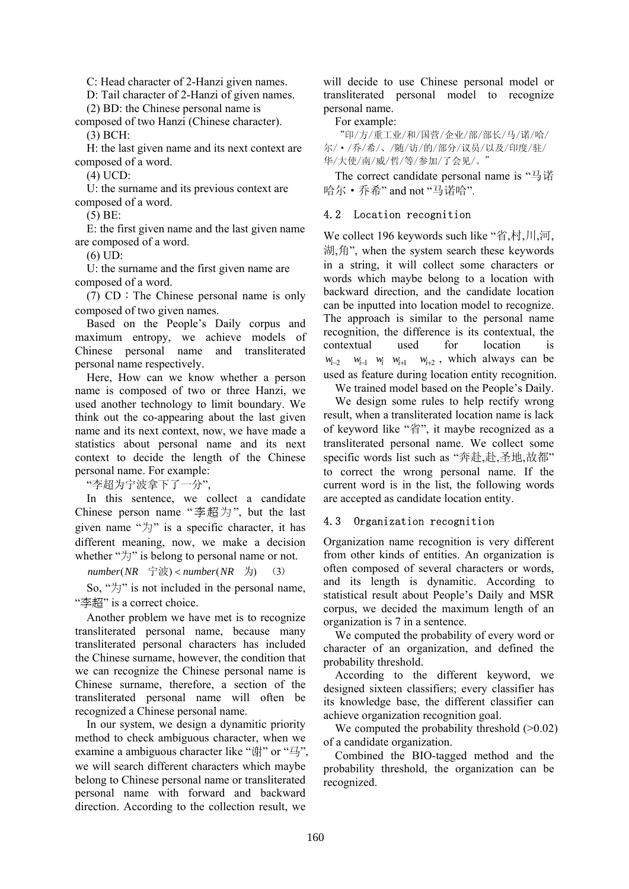C: Head character of 2-Hanzi given names.

D: Tail character of 2-Hanzi of given names.

(2) BD: the Chinese personal name is composed of two Hanzi (Chinese character). (3) BCH:

H: the last given name and its next context are composed of a word.

(4) UCD:

U: the surname and its previous context are composed of a word.

(5) BE:

E: the first given name and the last given name are composed of a word.

(6) UD:

U: the surname and the first given name are composed of a word.

(7) CD:The Chinese personal name is only composed of two given names.

Based on the People's Daily corpus and maximum entropy, we achieve models of Chinese personal name and transliterated personal name respectively.

Here, How can we know whether a person name is composed of two or three Hanzi, we used another technology to limit boundary. We think out the co-appearing about the last given name and its next context, now, we have made a statistics about personal name and its next context to decide the length of the Chinese personal name. For example:

"李超为宁波拿下了一分",

In this sentence, we collect a candidate Chinese person name "李超为", but the last given name " $\forall$ j" is a specific character, it has different meaning, now, we make a decision whether "为" is belong to personal name or not.

 $number(NR \rightrightarrows \nightrightarrows)$  <  $number(NR \rightrightarrows)$  (3)

So, " $\forall$ )" is not included in the personal name, "李超" is a correct choice.

Another problem we have met is to recognize transliterated personal name, because many transliterated personal characters has included the Chinese surname, however, the condition that we can recognize the Chinese personal name is Chinese surname, therefore, a section of the transliterated personal name will often be recognized a Chinese personal name.

In our system, we design a dynamitic priority method to check ambiguous character, when we examine a ambiguous character like "谢" or "马". we will search different characters which maybe belong to Chinese personal name or transliterated personal name with forward and backward direction. According to the collection result, we will decide to use Chinese personal model or transliterated personal model to recognize personal name.

For example:

"印/方/重工业/和/国营/企业/部/部长/马/诺/哈/ 尔/·/乔/希/、/随/访/的/部分/议员/以及/印度/驻/ 华/大使/南/威/哲/等/参加/了会见/。"

The correct candidate personal name is "马诺 哈尔·乔希" and not "马诺哈".

## 4.2 Location recognition

We collect 196 keywords such like "省,村,川,河, 湖,角", when the system search these keywords in a string, it will collect some characters or words which maybe belong to a location with backward direction, and the candidate location can be inputted into location model to recognize. The approach is similar to the personal name recognition, the difference is its contextual, the contextual used for location is *w*<sub>i−2</sub> *w*<sub>i−1</sub> *w*<sub>i</sub> *w*<sub>i+1</sub> *w*<sub>i+2</sub>, which always can be used as feature during location entity recognition.

We trained model based on the People's Daily.

We design some rules to help rectify wrong result, when a transliterated location name is lack of keyword like "省", it maybe recognized as a transliterated personal name. We collect some specific words list such as "奔赴,赴,圣地,故都" to correct the wrong personal name. If the current word is in the list, the following words are accepted as candidate location entity.

#### 4.3 Organization recognition

Organization name recognition is very different from other kinds of entities. An organization is often composed of several characters or words, and its length is dynamitic. According to statistical result about People's Daily and MSR corpus, we decided the maximum length of an organization is 7 in a sentence.

We computed the probability of every word or character of an organization, and defined the probability threshold.

According to the different keyword, we designed sixteen classifiers; every classifier has its knowledge base, the different classifier can achieve organization recognition goal.

We computed the probability threshold  $(>0.02)$ of a candidate organization.

Combined the BIO-tagged method and the probability threshold, the organization can be recognized.